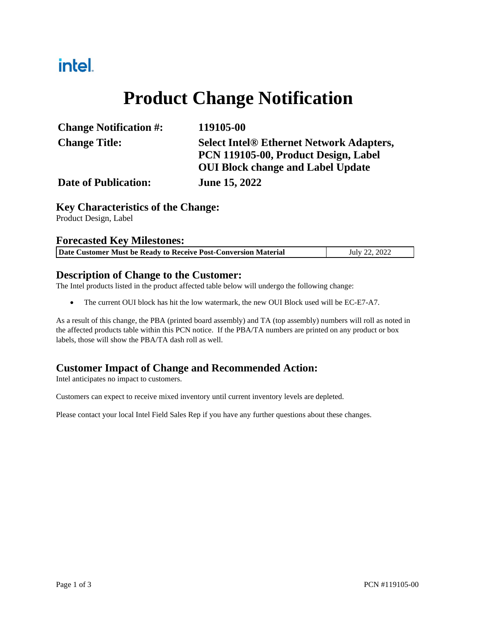# intel.

# **Product Change Notification**

| <b>Change Notification #:</b> | 119105-00                                       |  |  |  |
|-------------------------------|-------------------------------------------------|--|--|--|
| <b>Change Title:</b>          | <b>Select Intel® Ethernet Network Adapters,</b> |  |  |  |
|                               | PCN 119105-00, Product Design, Label            |  |  |  |
|                               | <b>OUI Block change and Label Update</b>        |  |  |  |
| <b>Date of Publication:</b>   | <b>June 15, 2022</b>                            |  |  |  |

## **Key Characteristics of the Change:**

Product Design, Label

#### **Forecasted Key Milestones:**

| Date Customer Must be Ready to Receive Post-Conversion Material | July 22, 2022 |
|-----------------------------------------------------------------|---------------|
|                                                                 |               |

## **Description of Change to the Customer:**

The Intel products listed in the product affected table below will undergo the following change:

• The current OUI block has hit the low watermark, the new OUI Block used will be EC-E7-A7.

As a result of this change, the PBA (printed board assembly) and TA (top assembly) numbers will roll as noted in the affected products table within this PCN notice. If the PBA/TA numbers are printed on any product or box labels, those will show the PBA/TA dash roll as well.

## **Customer Impact of Change and Recommended Action:**

Intel anticipates no impact to customers.

Customers can expect to receive mixed inventory until current inventory levels are depleted.

Please contact your local Intel Field Sales Rep if you have any further questions about these changes.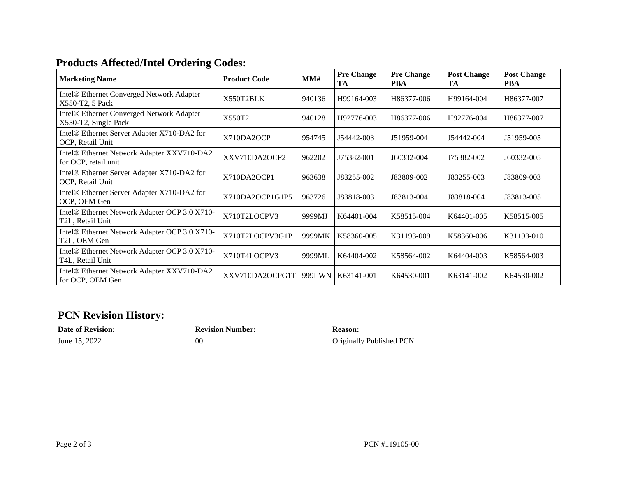## **Products Affected/Intel Ordering Codes:**

| <b>Marketing Name</b>                                                          | <b>Product Code</b> | MM#    | <b>Pre Change</b><br>TA | <b>Pre Change</b><br><b>PBA</b> | <b>Post Change</b><br>TA | <b>Post Change</b><br><b>PBA</b> |
|--------------------------------------------------------------------------------|---------------------|--------|-------------------------|---------------------------------|--------------------------|----------------------------------|
| Intel® Ethernet Converged Network Adapter<br>X550-T2, 5 Pack                   | X550T2BLK           | 940136 | H99164-003              | H86377-006                      | H99164-004               | H86377-007                       |
| Intel® Ethernet Converged Network Adapter<br>X550-T2, Single Pack              | X550T2              | 940128 | H92776-003              | H86377-006                      | H92776-004               | H86377-007                       |
| Intel® Ethernet Server Adapter X710-DA2 for<br>OCP, Retail Unit                | X710DA2OCP          | 954745 | J54442-003              | J51959-004                      | J54442-004               | J51959-005                       |
| Intel <sup>®</sup> Ethernet Network Adapter XXV710-DA2<br>for OCP, retail unit | XXV710DA2OCP2       | 962202 | J75382-001              | J60332-004                      | J75382-002               | J60332-005                       |
| Intel® Ethernet Server Adapter X710-DA2 for<br>OCP, Retail Unit                | X710DA2OCP1         | 963638 | J83255-002              | J83809-002                      | J83255-003               | J83809-003                       |
| Intel® Ethernet Server Adapter X710-DA2 for<br>OCP, OEM Gen                    | X710DA2OCP1G1P5     | 963726 | J83818-003              | J83813-004                      | J83818-004               | J83813-005                       |
| Intel® Ethernet Network Adapter OCP 3.0 X710-<br>T2L, Retail Unit              | X710T2LOCPV3        | 9999MJ | K64401-004              | K58515-004                      | K64401-005               | K58515-005                       |
| Intel® Ethernet Network Adapter OCP 3.0 X710-<br>T2L, OEM Gen                  | X710T2LOCPV3G1P     | 9999MK | K58360-005              | K31193-009                      | K58360-006               | K31193-010                       |
| Intel® Ethernet Network Adapter OCP 3.0 X710-<br>T4L, Retail Unit              | X710T4LOCPV3        | 9999ML | K64404-002              | K58564-002                      | K64404-003               | K58564-003                       |
| Intel® Ethernet Network Adapter XXV710-DA2<br>for OCP, OEM Gen                 | XXV710DA2OCPG1T     | 999LWN | K63141-001              | K64530-001                      | K63141-002               | K64530-002                       |

## **PCN Revision History:**

# **Date of Revision: Revision Number: Reason:**

June 15, 2022 00 00 Originally Published PCN